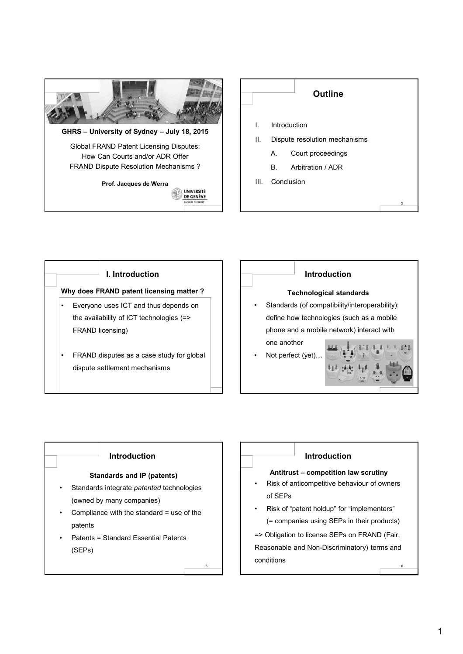







#### **Technological standards**

• Standards (of compatibility/interoperability): define how technologies (such as a mobile phone and a mobile network) interact with one another

Not perfect (yet).



# **Introduction**

### **Standards and IP (patents)**

- Standards integrate *patented* technologies (owned by many companies)
- Compliance with the standard = use of the patents

5

• Patents = Standard Essential Patents (SEPs)

6 **Antitrust – competition law scrutiny** • Risk of anticompetitive behaviour of owners of SEPs • Risk of "patent holdup" for "implementers" (= companies using SEPs in their products) => Obligation to license SEPs on FRAND (Fair, Reasonable and Non-Discriminatory) terms and conditions **Introduction**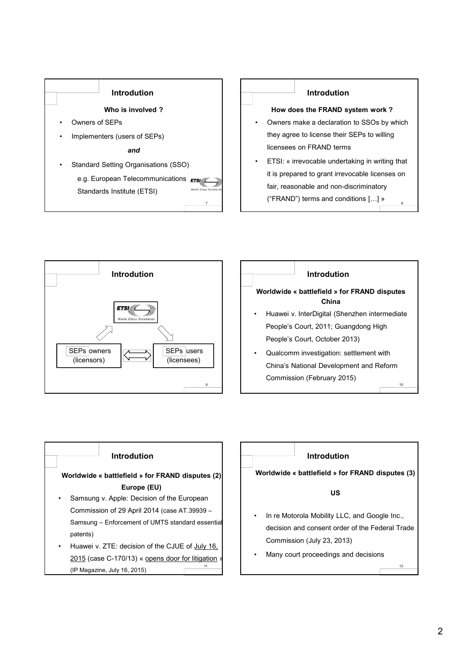

## **Introdution**

#### **How does the FRAND system work ?**

- Owners make a declaration to SSOs by which they agree to license their SEPs to willing licensees on FRAND terms
- 8 ETSI: « irrevocable undertaking in writing that it is prepared to grant irrevocable licenses on fair, reasonable and non-discriminatory ("FRAND") terms and conditions […] »



|                                                       |                                                                                                                        |  | Introdution |  |  |  |
|-------------------------------------------------------|------------------------------------------------------------------------------------------------------------------------|--|-------------|--|--|--|
| Worldwide « battlefield » for FRAND disputes<br>China |                                                                                                                        |  |             |  |  |  |
|                                                       | Huawei v. InterDigital (Shenzhen intermediate<br>People's Court, 2011; Guangdong High<br>People's Court, October 2013) |  |             |  |  |  |
|                                                       | Qualcomm investigation: settlement with<br>China's National Development and Reform<br>Commission (February 2015)<br>10 |  |             |  |  |  |



# **Introdution**

**Worldwide « battlefield » for FRAND disputes (3)**

### **US**

- In re Motorola Mobility LLC, and Google Inc., decision and consent order of the Federal Trade Commission (July 23, 2013)
- Many court proceedings and decisions

12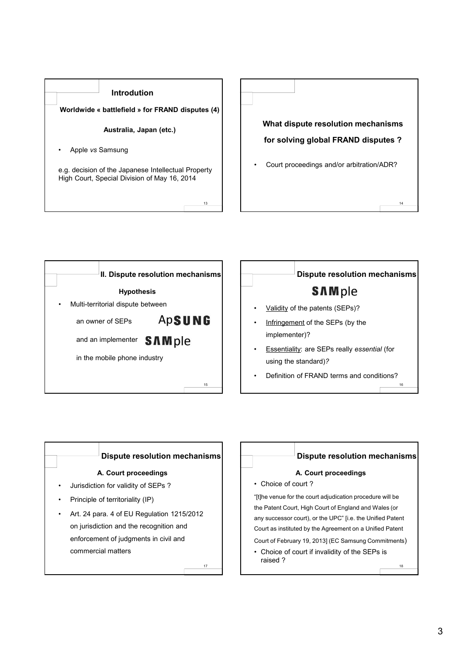





# **Dispute resolution mechanisms SAMple**

- Validity of the patents (SEPs)?
- Infringement of the SEPs (by the implementer)?
- Essentiality: are SEPs really *essential* (for using the standard)*?*
- 16 • Definition of FRAND terms and conditions?



commercial matters

17

# **Dispute resolution mechanisms**

# **A. Court proceedings**

• Choice of court ?

"[t]he venue for the court adjudication procedure will be the Patent Court, High Court of England and Wales (or any successor court), or the UPC" [i.e. the Unified Patent Court as instituted by the Agreement on a Unified Patent Court of February 19, 2013] (EC Samsung Commitments)

• Choice of court if invalidity of the SEPs is raised ?

18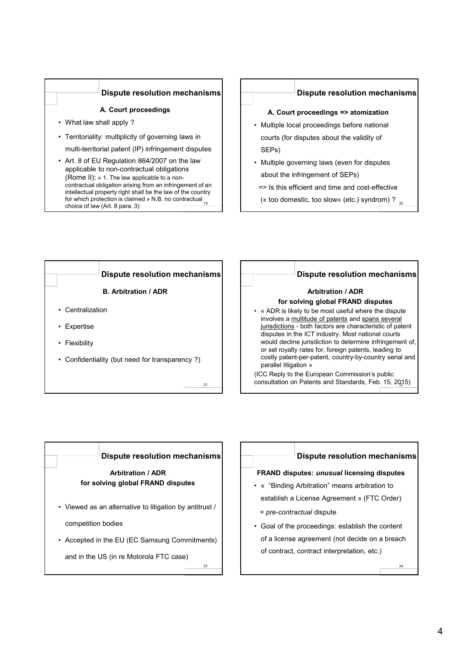## **Dispute resolution mechanisms**

#### **A. Court proceedings**

- What law shall apply ?
- Territoriality: multiplicity of governing laws in multi-territorial patent (IP) infringement disputes
- for which protection is claimed » N.B. no contractual <sub>19</sub> • Art. 8 of EU Regulation 864/2007 on the law applicable to non-contractual obligations (Rome II): « 1. The law applicable to a noncontractual obligation arising from an infringement of an intellectual property right shall be the law of the country choice of law (Art. 8 para. 3)

## **Dispute resolution mechanisms**

#### **A. Court proceedings => atomization**

- Multiple local proceedings before national courts (for disputes about the validity of SEPs)
- Multiple governing laws (even for disputes about the infringement of SEPs)
- => Is this efficient and time and cost-effective
	- (« too domestic, too slow» (etc.) syndrom) ?  $_{\rm 20}$





## **Arbitration / ADR**

# **for solving global FRAND disputes**

• « ADR is likely to be most useful where the dispute involves a multitude of patents and spans several jurisdictions - both factors are characteristic of patent disputes in the ICT industry. Most national courts would decline jurisdiction to determine infringement of, or set royalty rates for, foreign patents, leading to costly patent-per-patent, country-by-country serial and parallel litigation »

22 consultation on Patents and Standards, Feb. 15, 2015) (ICC Reply to the European Commission's public



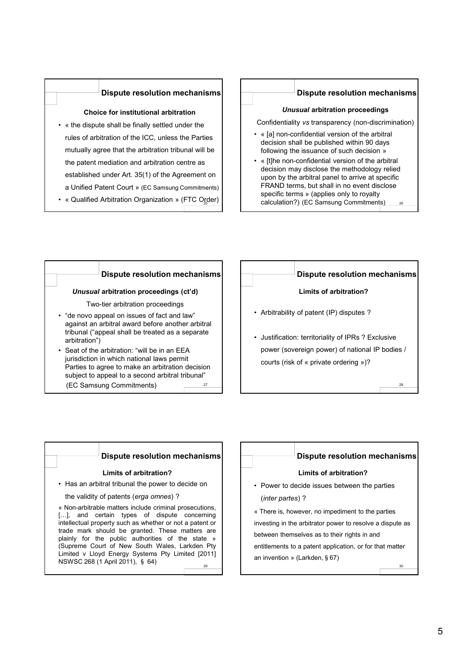## **Dispute resolution mechanisms**

#### **Choice for institutional arbitration**

- « the dispute shall be finally settled under the rules of arbitration of the ICC, unless the Parties mutually agree that the arbitration tribunal will be the patent mediation and arbitration centre as established under Art. 35(1) of the Agreement on a Unified Patent Court » (EC Samsung Commitments)
- « Qualified Arbitration Organization » (FTC Oreller)

#### **Dispute resolution mechanisms**

#### *Unusual* **arbitration proceedings**

Confidentiality *vs* transparency (non-discrimination)

- « [a] non-confidential version of the arbitral decision shall be published within 90 days following the issuance of such decision »
- 26 • « [t]he non-confidential version of the arbitral decision may disclose the methodology relied upon by the arbitral panel to arrive at specific FRAND terms, but shall in no event disclose specific terms » (applies only to royalty calculation?) (EC Samsung Commitments)

#### 27 *Unusual* **arbitration proceedings (ct'd)** Two-tier arbitration proceedings • "de novo appeal on issues of fact and law" against an arbitral award before another arbitral tribunal ("appeal shall be treated as a separate arbitration") • Seat of the arbitration: "will be in an EEA jurisdiction in which national laws permit Parties to agree to make an arbitration decision subject to appeal to a second arbitral tribunal" (EC Samsung Commitments) **Dispute resolution mechanisms Limits of arbitration?** • Arbitrability of patent (IP) disputes ? • Justification: territoriality of IPRs ? Exclusive power (sovereign power) of national IP bodies / courts (risk of « private ordering »)? **Dispute resolution mechanisms**

## **Dispute resolution mechanisms**

#### **Limits of arbitration?**

• Has an arbitral tribunal the power to decide on

the validity of patents (*erga omnes*) ?

« Non-arbitrable matters include criminal prosecutions, [...], and certain types of dispute concerning intellectual property such as whether or not a patent or trade mark should be granted. These matters are plainly for the public authorities of the state » (Supreme Court of New South Wales, Larkden Pty Limited v Lloyd Energy Systems Pty Limited [2011] NSWSC 268 (1 April 2011), 㼲 64)

29

# **Dispute resolution mechanisms**

28

30

#### **Limits of arbitration?**

• Power to decide issues between the parties (*inter partes*) ?

« There is, however, no impediment to the parties investing in the arbitrator power to resolve a dispute as between themselves as to their rights in and entitlements to a patent application, or for that matter an invention » (Larkden, § 67)